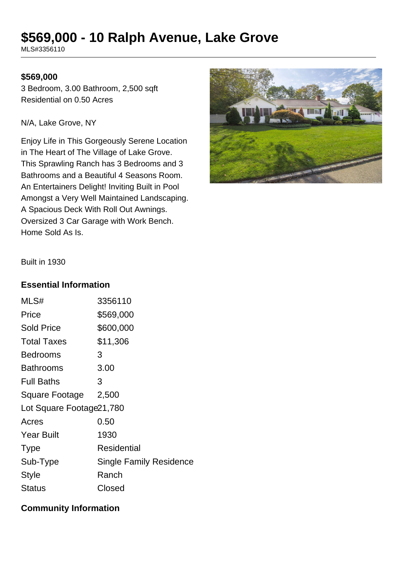# **\$569,000 - 10 Ralph Avenue, Lake Grove**

MLS#3356110

#### **\$569,000**

3 Bedroom, 3.00 Bathroom, 2,500 sqft Residential on 0.50 Acres

N/A, Lake Grove, NY

Enjoy Life in This Gorgeously Serene Location in The Heart of The Village of Lake Grove. This Sprawling Ranch has 3 Bedrooms and 3 Bathrooms and a Beautiful 4 Seasons Room. An Entertainers Delight! Inviting Built in Pool Amongst a Very Well Maintained Landscaping. A Spacious Deck With Roll Out Awnings. Oversized 3 Car Garage with Work Bench. Home Sold As Is.



Built in 1930

#### **Essential Information**

| MLS#                      | 3356110                        |  |
|---------------------------|--------------------------------|--|
| Price                     | \$569,000                      |  |
| <b>Sold Price</b>         | \$600,000                      |  |
| <b>Total Taxes</b>        | \$11,306                       |  |
| Bedrooms                  | 3                              |  |
| Bathrooms                 | 3.00                           |  |
| <b>Full Baths</b>         | 3                              |  |
| Square Footage            | 2,500                          |  |
| Lot Square Footage 21,780 |                                |  |
| Acres                     | 0.50                           |  |
| <b>Year Built</b>         | 1930                           |  |
| <b>Type</b>               | Residential                    |  |
| Sub-Type                  | <b>Single Family Residence</b> |  |
| <b>Style</b>              | Ranch                          |  |
| Status                    | Closed                         |  |

### **Community Information**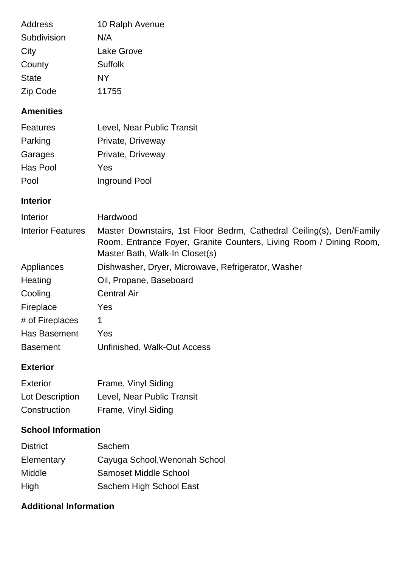| Address      | 10 Ralph Avenue |
|--------------|-----------------|
| Subdivision  | N/A             |
| City         | Lake Grove      |
| County       | <b>Suffolk</b>  |
| <b>State</b> | NΥ              |
| Zip Code     | 11755           |

## **Amenities**

| Features | Level, Near Public Transit |
|----------|----------------------------|
| Parking  | Private, Driveway          |
| Garages  | Private, Driveway          |
| Has Pool | Yes                        |
| Pool     | Inground Pool              |

## **Interior**

| Interior                 | Hardwood                                                                                             |
|--------------------------|------------------------------------------------------------------------------------------------------|
| <b>Interior Features</b> | Master Downstairs, 1st Floor Bedrm, Cathedral Ceiling(s), Den/Family                                 |
|                          | Room, Entrance Foyer, Granite Counters, Living Room / Dining Room,<br>Master Bath, Walk-In Closet(s) |
| Appliances               | Dishwasher, Dryer, Microwave, Refrigerator, Washer                                                   |
| Heating                  | Oil, Propane, Baseboard                                                                              |
| Cooling                  | <b>Central Air</b>                                                                                   |
| Fireplace                | <b>Yes</b>                                                                                           |
| # of Fireplaces          | 1                                                                                                    |
| Has Basement             | Yes                                                                                                  |
| <b>Basement</b>          | Unfinished, Walk-Out Access                                                                          |
|                          |                                                                                                      |

# **Exterior**

| Exterior        | Frame, Vinyl Siding        |
|-----------------|----------------------------|
| Lot Description | Level, Near Public Transit |
| Construction    | Frame, Vinyl Siding        |

## **School Information**

| <b>District</b> | Sachem                        |
|-----------------|-------------------------------|
| Elementary      | Cayuga School, Wenonah School |
| Middle          | <b>Samoset Middle School</b>  |
| High            | Sachem High School East       |

# **Additional Information**